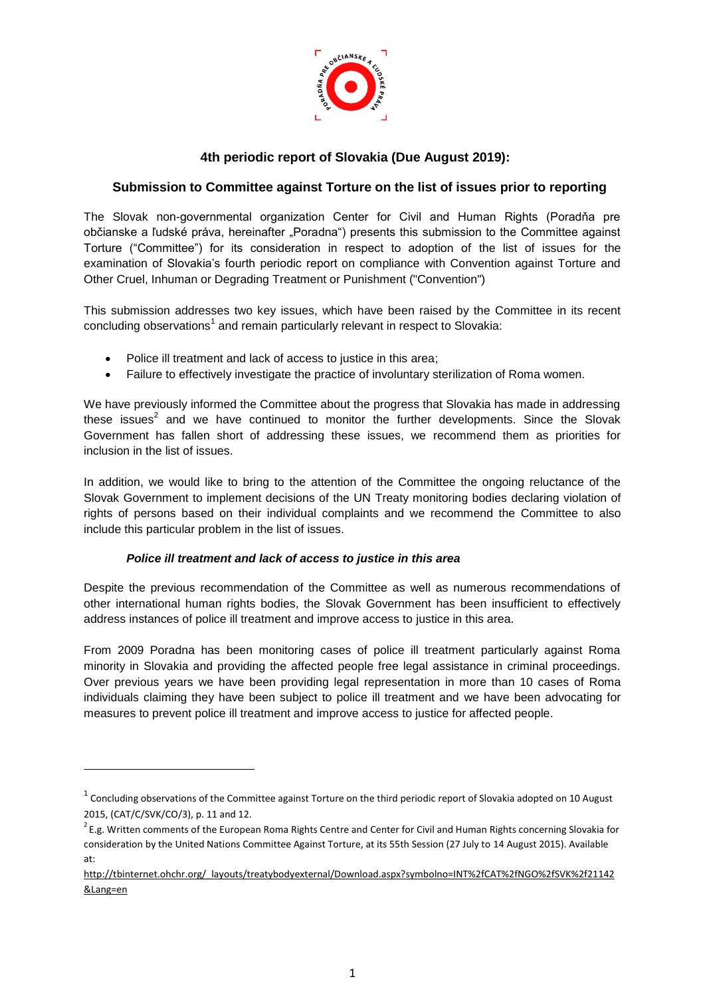

# **4th periodic report of Slovakia (Due August 2019):**

## **Submission to Committee against Torture on the list of issues prior to reporting**

The Slovak non-governmental organization Center for Civil and Human Rights (Poradňa pre občianske a ľudské práva, hereinafter "Poradna") presents this submission to the Committee against Torture ("Committee") for its consideration in respect to adoption of the list of issues for the examination of Slovakia's fourth periodic report on compliance with Convention against Torture and Other Cruel, Inhuman or Degrading Treatment or Punishment ("Convention")

This submission addresses two key issues, which have been raised by the Committee in its recent concluding observations<sup>1</sup> and remain particularly relevant in respect to Slovakia:

- Police ill treatment and lack of access to justice in this area;
- Failure to effectively investigate the practice of involuntary sterilization of Roma women.

We have previously informed the Committee about the progress that Slovakia has made in addressing these issues<sup>2</sup> and we have continued to monitor the further developments. Since the Slovak Government has fallen short of addressing these issues, we recommend them as priorities for inclusion in the list of issues.

In addition, we would like to bring to the attention of the Committee the ongoing reluctance of the Slovak Government to implement decisions of the UN Treaty monitoring bodies declaring violation of rights of persons based on their individual complaints and we recommend the Committee to also include this particular problem in the list of issues.

#### *Police ill treatment and lack of access to justice in this area*

**.** 

Despite the previous recommendation of the Committee as well as numerous recommendations of other international human rights bodies, the Slovak Government has been insufficient to effectively address instances of police ill treatment and improve access to justice in this area.

From 2009 Poradna has been monitoring cases of police ill treatment particularly against Roma minority in Slovakia and providing the affected people free legal assistance in criminal proceedings. Over previous years we have been providing legal representation in more than 10 cases of Roma individuals claiming they have been subject to police ill treatment and we have been advocating for measures to prevent police ill treatment and improve access to justice for affected people.

 $^1$  Concluding observations of the Committee against Torture on the third periodic report of Slovakia adopted on 10 August 2015, (CAT/C/SVK/CO/3), p. 11 and 12.

 $^2$ E.g. Written comments of the European Roma Rights Centre and Center for Civil and Human Rights concerning Slovakia for consideration by the United Nations Committee Against Torture, at its 55th Session (27 July to 14 August 2015). Available at:

[http://tbinternet.ohchr.org/\\_layouts/treatybodyexternal/Download.aspx?symbolno=INT%2fCAT%2fNGO%2fSVK%2f21142](http://tbinternet.ohchr.org/_layouts/treatybodyexternal/Download.aspx?symbolno=INT%2FCAT%2FNGO%2FSVK%2F21142&Lang=en) [&Lang=en](http://tbinternet.ohchr.org/_layouts/treatybodyexternal/Download.aspx?symbolno=INT%2FCAT%2FNGO%2FSVK%2F21142&Lang=en)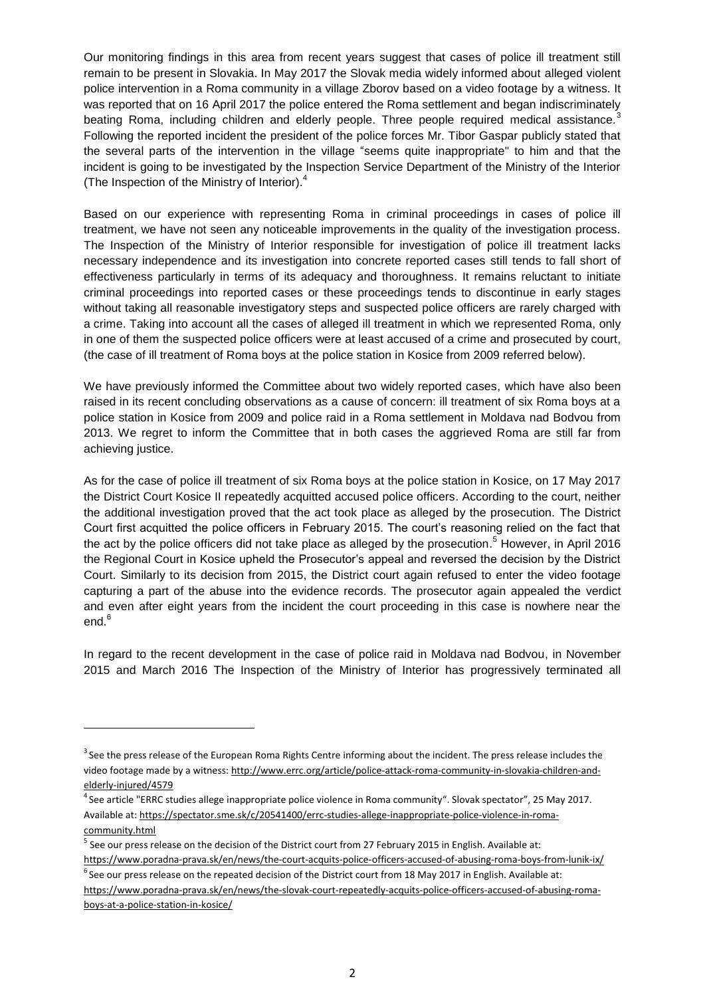Our monitoring findings in this area from recent years suggest that cases of police ill treatment still remain to be present in Slovakia. In May 2017 the Slovak media widely informed about alleged violent police intervention in a Roma community in a village Zborov based on a video footage by a witness. It was reported that on 16 April 2017 the police entered the Roma settlement and began indiscriminately beating Roma, including children and elderly people. Three people required medical assistance.<sup>3</sup> Following the reported incident the president of the police forces Mr. Tibor Gaspar publicly stated that the several parts of the intervention in the village "seems quite inappropriate" to him and that the incident is going to be investigated by the Inspection Service Department of the Ministry of the Interior (The Inspection of the Ministry of Interior). 4

Based on our experience with representing Roma in criminal proceedings in cases of police ill treatment, we have not seen any noticeable improvements in the quality of the investigation process. The Inspection of the Ministry of Interior responsible for investigation of police ill treatment lacks necessary independence and its investigation into concrete reported cases still tends to fall short of effectiveness particularly in terms of its adequacy and thoroughness. It remains reluctant to initiate criminal proceedings into reported cases or these proceedings tends to discontinue in early stages without taking all reasonable investigatory steps and suspected police officers are rarely charged with a crime. Taking into account all the cases of alleged ill treatment in which we represented Roma, only in one of them the suspected police officers were at least accused of a crime and prosecuted by court, (the case of ill treatment of Roma boys at the police station in Kosice from 2009 referred below).

We have previously informed the Committee about two widely reported cases, which have also been raised in its recent concluding observations as a cause of concern: ill treatment of six Roma boys at a police station in Kosice from 2009 and police raid in a Roma settlement in Moldava nad Bodvou from 2013. We regret to inform the Committee that in both cases the aggrieved Roma are still far from achieving justice.

As for the case of police ill treatment of six Roma boys at the police station in Kosice, on 17 May 2017 the District Court Kosice II repeatedly acquitted accused police officers. According to the court, neither the additional investigation proved that the act took place as alleged by the prosecution. The District Court first acquitted the police officers in February 2015. The court's reasoning relied on the fact that the act by the police officers did not take place as alleged by the prosecution.<sup>5</sup> However, in April 2016 the Regional Court in Kosice upheld the Prosecutor's appeal and reversed the decision by the District Court. Similarly to its decision from 2015, the District court again refused to enter the video footage capturing a part of the abuse into the evidence records. The prosecutor again appealed the verdict and even after eight years from the incident the court proceeding in this case is nowhere near the end. 6

In regard to the recent development in the case of police raid in Moldava nad Bodvou, in November 2015 and March 2016 The Inspection of the Ministry of Interior has progressively terminated all

**.** 

 $3$  See the press release of the European Roma Rights Centre informing about the incident. The press release includes the video footage made by a witness[: http://www.errc.org/article/police-attack-roma-community-in-slovakia-children-and](http://www.errc.org/article/police-attack-roma-community-in-slovakia-children-and-elderly-injured/4579)[elderly-injured/4579](http://www.errc.org/article/police-attack-roma-community-in-slovakia-children-and-elderly-injured/4579)

<sup>&</sup>lt;sup>4</sup> See article "ERRC studies allege inappropriate police violence in Roma community". Slovak spectator", 25 May 2017. Available at: [https://spectator.sme.sk/c/20541400/errc-studies-allege-inappropriate-police-violence-in-roma](https://spectator.sme.sk/c/20541400/errc-studies-allege-inappropriate-police-violence-in-roma-community.html)[community.html](https://spectator.sme.sk/c/20541400/errc-studies-allege-inappropriate-police-violence-in-roma-community.html)

<sup>&</sup>lt;sup>5</sup> See our press release on the decision of the District court from 27 February 2015 in English. Available at:

https://www.poradna-prava.sk/en/news/the-court-acquits-police-officers-accused-of-abusing-roma-boys-from-lunik-ix/  $^6$ See our press release on the repeated decision of the District court from 18 May 2017 in English. Available at:

[https://www.poradna-prava.sk/en/news/the-slovak-court-repeatedly-acquits-police-officers-accused-of-abusing-roma](https://www.poradna-prava.sk/en/news/the-slovak-court-repeatedly-acquits-police-officers-accused-of-abusing-roma-boys-at-a-police-station-in-kosice/)[boys-at-a-police-station-in-kosice/](https://www.poradna-prava.sk/en/news/the-slovak-court-repeatedly-acquits-police-officers-accused-of-abusing-roma-boys-at-a-police-station-in-kosice/)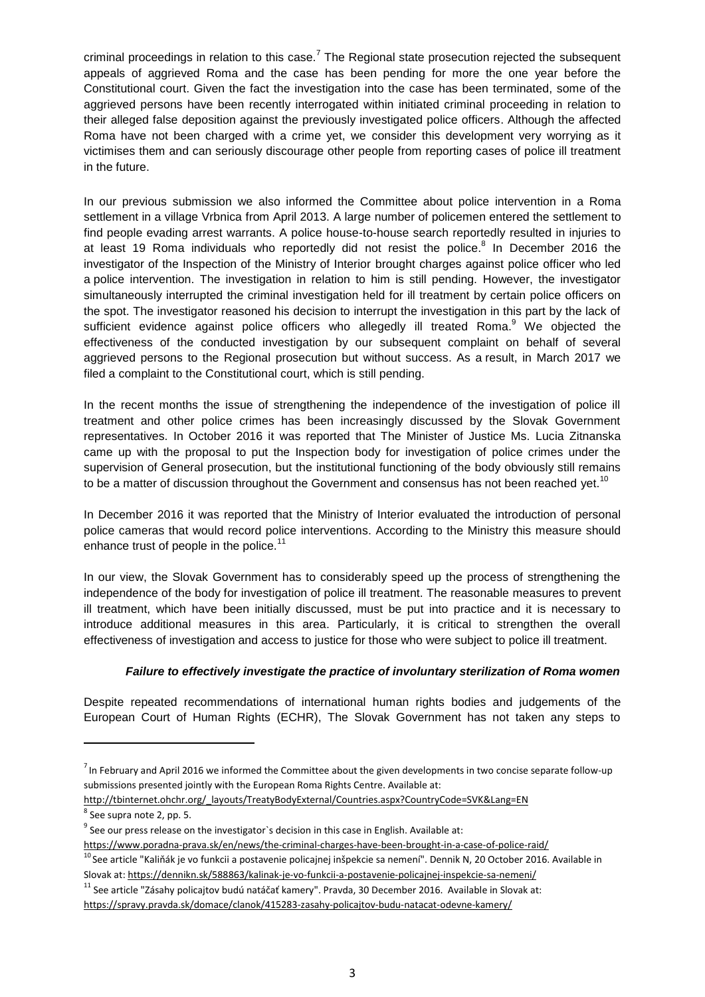criminal proceedings in relation to this case.<sup>7</sup> The Regional state prosecution rejected the subsequent appeals of aggrieved Roma and the case has been pending for more the one year before the Constitutional court. Given the fact the investigation into the case has been terminated, some of the aggrieved persons have been recently interrogated within initiated criminal proceeding in relation to their alleged false deposition against the previously investigated police officers. Although the affected Roma have not been charged with a crime yet, we consider this development very worrying as it victimises them and can seriously discourage other people from reporting cases of police ill treatment in the future.

In our previous submission we also informed the Committee about police intervention in a Roma settlement in a village Vrbnica from April 2013. A large number of policemen entered the settlement to find people evading arrest warrants. A police house-to-house search reportedly resulted in injuries to at least 19 Roma individuals who reportedly did not resist the police.<sup>8</sup> In December 2016 the investigator of the Inspection of the Ministry of Interior brought charges against police officer who led a police intervention. The investigation in relation to him is still pending. However, the investigator simultaneously interrupted the criminal investigation held for ill treatment by certain police officers on the spot. The investigator reasoned his decision to interrupt the investigation in this part by the lack of sufficient evidence against police officers who allegedly ill treated Roma.<sup>9</sup> We objected the effectiveness of the conducted investigation by our subsequent complaint on behalf of several aggrieved persons to the Regional prosecution but without success. As a result, in March 2017 we filed a complaint to the Constitutional court, which is still pending.

In the recent months the issue of strengthening the independence of the investigation of police ill treatment and other police crimes has been increasingly discussed by the Slovak Government representatives. In October 2016 it was reported that The Minister of Justice Ms. Lucia Zitnanska came up with the proposal to put the Inspection body for investigation of police crimes under the supervision of General prosecution, but the institutional functioning of the body obviously still remains to be a matter of discussion throughout the Government and consensus has not been reached yet.<sup>10</sup>

In December 2016 it was reported that the Ministry of Interior evaluated the introduction of personal police cameras that would record police interventions. According to the Ministry this measure should enhance trust of people in the police. $11$ 

In our view, the Slovak Government has to considerably speed up the process of strengthening the independence of the body for investigation of police ill treatment. The reasonable measures to prevent ill treatment, which have been initially discussed, must be put into practice and it is necessary to introduce additional measures in this area. Particularly, it is critical to strengthen the overall effectiveness of investigation and access to justice for those who were subject to police ill treatment.

#### *Failure to effectively investigate the practice of involuntary sterilization of Roma women*

Despite repeated recommendations of international human rights bodies and judgements of the European Court of Human Rights (ECHR), The Slovak Government has not taken any steps to

**.** 

 $^7$  In February and April 2016 we informed the Committee about the given developments in two concise separate follow-up submissions presented jointly with the European Roma Rights Centre. Available at:

[http://tbinternet.ohchr.org/\\_layouts/TreatyBodyExternal/Countries.aspx?CountryCode=SVK&Lang=EN](http://tbinternet.ohchr.org/_layouts/TreatyBodyExternal/Countries.aspx?CountryCode=SVK&Lang=EN)

<sup>&</sup>lt;sup>8</sup> See supra note 2, pp. 5.

 $9$  See our press release on the investigator`s decision in this case in English. Available at:

https://www.poradna-prava.sk/en/news/the-criminal-charges-have-been-brought-in-a-case-of-police-raid/

<sup>&</sup>lt;sup>10</sup> See article "Kaliňák je vo funkcii a postavenie policajnej inšpekcie sa nemení". Dennik N, 20 October 2016. Available in Slovak at:<https://dennikn.sk/588863/kalinak-je-vo-funkcii-a-postavenie-policajnej-inspekcie-sa-nemeni/>

<sup>&</sup>lt;sup>11</sup> See article "Zásahy policajtov budú natáčať kamery". Pravda, 30 December 2016. Available in Slovak at: <https://spravy.pravda.sk/domace/clanok/415283-zasahy-policajtov-budu-natacat-odevne-kamery/>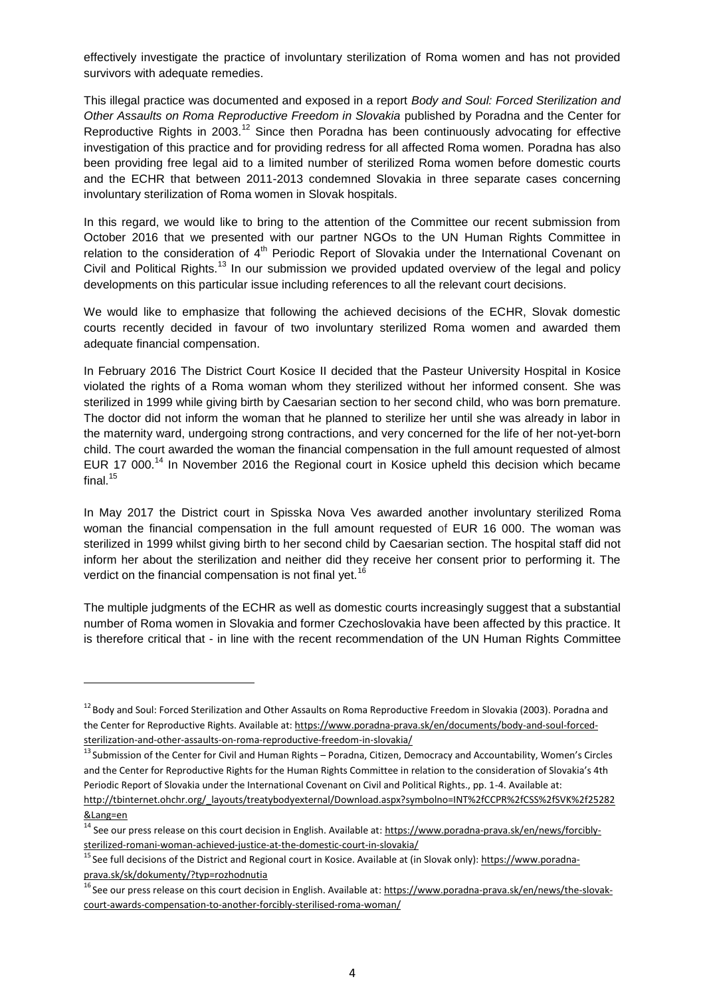effectively investigate the practice of involuntary sterilization of Roma women and has not provided survivors with adequate remedies.

This illegal practice was documented and exposed in a report *Body and Soul: Forced Sterilization and Other Assaults on Roma Reproductive Freedom in Slovakia* published by Poradna and the Center for Reproductive Rights in 2003.<sup>12</sup> Since then Poradna has been continuously advocating for effective investigation of this practice and for providing redress for all affected Roma women. Poradna has also been providing free legal aid to a limited number of sterilized Roma women before domestic courts and the ECHR that between 2011-2013 condemned Slovakia in three separate cases concerning involuntary sterilization of Roma women in Slovak hospitals.

In this regard, we would like to bring to the attention of the Committee our recent submission from October 2016 that we presented with our partner NGOs to the UN Human Rights Committee in relation to the consideration of  $4<sup>th</sup>$  Periodic Report of Slovakia under the International Covenant on Civil and Political Rights.<sup>13</sup> In our submission we provided updated overview of the legal and policy developments on this particular issue including references to all the relevant court decisions.

We would like to emphasize that following the achieved decisions of the ECHR, Slovak domestic courts recently decided in favour of two involuntary sterilized Roma women and awarded them adequate financial compensation.

In February 2016 The District Court Kosice II decided that the Pasteur University Hospital in Kosice violated the rights of a Roma woman whom they sterilized without her informed consent. She was sterilized in 1999 while giving birth by Caesarian section to her second child, who was born premature. The doctor did not inform the woman that he planned to sterilize her until she was already in labor in the maternity ward, undergoing strong contractions, and very concerned for the life of her not-yet-born child. The court awarded the woman the financial compensation in the full amount requested of almost EUR 17 000.<sup>14</sup> In November 2016 the Regional court in Kosice upheld this decision which became final. $^{15}$ 

In May 2017 the District court in Spisska Nova Ves awarded another involuntary sterilized Roma woman the financial compensation in the full amount requested of EUR 16 000. The woman was sterilized in 1999 whilst giving birth to her second child by Caesarian section. The hospital staff did not inform her about the sterilization and neither did they receive her consent prior to performing it. The verdict on the financial compensation is not final yet.<sup>16</sup>

The multiple judgments of the ECHR as well as domestic courts increasingly suggest that a substantial number of Roma women in Slovakia and former Czechoslovakia have been affected by this practice. It is therefore critical that - in line with the recent recommendation of the UN Human Rights Committee

**.** 

<sup>&</sup>lt;sup>12</sup> Body and Soul: Forced Sterilization and Other Assaults on Roma Reproductive Freedom in Slovakia (2003). Poradna and the Center for Reproductive Rights. Available at: [https://www.poradna-prava.sk/en/documents/body-and-soul-forced](https://www.poradna-prava.sk/en/documents/body-and-soul-forced-sterilization-and-other-assaults-on-roma-reproductive-freedom-in-slovakia/)[sterilization-and-other-assaults-on-roma-reproductive-freedom-in-slovakia/](https://www.poradna-prava.sk/en/documents/body-and-soul-forced-sterilization-and-other-assaults-on-roma-reproductive-freedom-in-slovakia/)

<sup>&</sup>lt;sup>13</sup> Submission of the Center for Civil and Human Rights – Poradna, Citizen, Democracy and Accountability, Women's Circles and the Center for Reproductive Rights for the Human Rights Committee in relation to the consideration of Slovakia's 4th Periodic Report of Slovakia under the International Covenant on Civil and Political Rights., pp. 1-4. Available at: [http://tbinternet.ohchr.org/\\_layouts/treatybodyexternal/Download.aspx?symbolno=INT%2fCCPR%2fCSS%2fSVK%2f25282](http://tbinternet.ohchr.org/_layouts/treatybodyexternal/Download.aspx?symbolno=INT%2FCCPR%2FCSS%2FSVK%2F25282&Lang=en) [&Lang=en](http://tbinternet.ohchr.org/_layouts/treatybodyexternal/Download.aspx?symbolno=INT%2FCCPR%2FCSS%2FSVK%2F25282&Lang=en)

<sup>&</sup>lt;sup>14</sup> See our press release on this court decision in English. Available at: [https://www.poradna-prava.sk/en/news/forcibly](https://www.poradna-prava.sk/en/news/forcibly-sterilized-romani-woman-achieved-justice-at-the-domestic-court-in-slovakia/)[sterilized-romani-woman-achieved-justice-at-the-domestic-court-in-slovakia/](https://www.poradna-prava.sk/en/news/forcibly-sterilized-romani-woman-achieved-justice-at-the-domestic-court-in-slovakia/)

<sup>&</sup>lt;sup>15</sup> See full decisions of the District and Regional court in Kosice. Available at (in Slovak only)[: https://www.poradna](https://www.poradna-prava.sk/sk/dokumenty/?typ=rozhodnutia)[prava.sk/sk/dokumenty/?typ=rozhodnutia](https://www.poradna-prava.sk/sk/dokumenty/?typ=rozhodnutia)

<sup>&</sup>lt;sup>16</sup> See our press release on this court decision in English. Available at[: https://www.poradna-prava.sk/en/news/the-slovak](https://www.poradna-prava.sk/en/news/the-slovak-court-awards-compensation-to-another-forcibly-sterilised-roma-woman/)[court-awards-compensation-to-another-forcibly-sterilised-roma-woman/](https://www.poradna-prava.sk/en/news/the-slovak-court-awards-compensation-to-another-forcibly-sterilised-roma-woman/)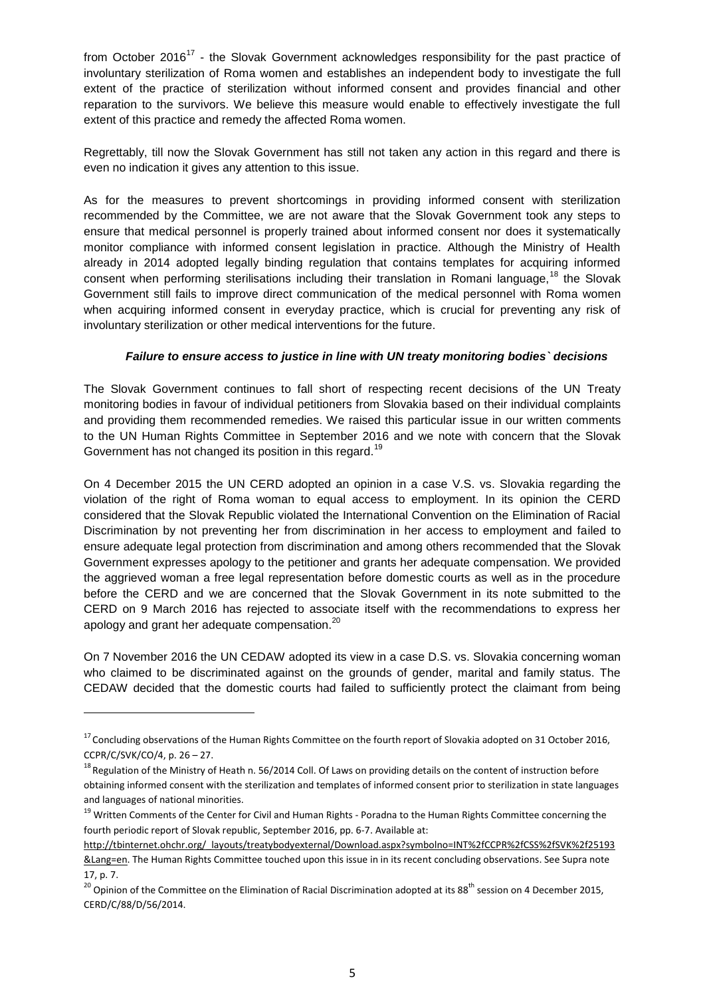from October 2016<sup>17</sup> - the Slovak Government acknowledges responsibility for the past practice of involuntary sterilization of Roma women and establishes an independent body to investigate the full extent of the practice of sterilization without informed consent and provides financial and other reparation to the survivors. We believe this measure would enable to effectively investigate the full extent of this practice and remedy the affected Roma women.

Regrettably, till now the Slovak Government has still not taken any action in this regard and there is even no indication it gives any attention to this issue.

As for the measures to prevent shortcomings in providing informed consent with sterilization recommended by the Committee, we are not aware that the Slovak Government took any steps to ensure that medical personnel is properly trained about informed consent nor does it systematically monitor compliance with informed consent legislation in practice. Although the Ministry of Health already in 2014 adopted legally binding regulation that contains templates for acquiring informed consent when performing sterilisations including their translation in Romani language,<sup>18</sup> the Slovak Government still fails to improve direct communication of the medical personnel with Roma women when acquiring informed consent in everyday practice, which is crucial for preventing any risk of involuntary sterilization or other medical interventions for the future.

#### *Failure to ensure access to justice in line with UN treaty monitoring bodies` decisions*

The Slovak Government continues to fall short of respecting recent decisions of the UN Treaty monitoring bodies in favour of individual petitioners from Slovakia based on their individual complaints and providing them recommended remedies. We raised this particular issue in our written comments to the UN Human Rights Committee in September 2016 and we note with concern that the Slovak Government has not changed its position in this regard.<sup>19</sup>

On 4 December 2015 the UN CERD adopted an opinion in a case V.S. vs. Slovakia regarding the violation of the right of Roma woman to equal access to employment. In its opinion the CERD considered that the Slovak Republic violated the International Convention on the Elimination of Racial Discrimination by not preventing her from discrimination in her access to employment and failed to ensure adequate legal protection from discrimination and among others recommended that the Slovak Government expresses apology to the petitioner and grants her adequate compensation. We provided the aggrieved woman a free legal representation before domestic courts as well as in the procedure before the CERD and we are concerned that the Slovak Government in its note submitted to the CERD on 9 March 2016 has rejected to associate itself with the recommendations to express her apology and grant her adequate compensation.<sup>20</sup>

On 7 November 2016 the UN CEDAW adopted its view in a case D.S. vs. Slovakia concerning woman who claimed to be discriminated against on the grounds of gender, marital and family status. The CEDAW decided that the domestic courts had failed to sufficiently protect the claimant from being

1

 $17$  Concluding observations of the Human Rights Committee on the fourth report of Slovakia adopted on 31 October 2016, CCPR/C/SVK/CO/4, p. 26 – 27.

<sup>&</sup>lt;sup>18</sup> Regulation of the Ministry of Heath n. 56/2014 Coll. Of Laws on providing details on the content of instruction before obtaining informed consent with the sterilization and templates of informed consent prior to sterilization in state languages and languages of national minorities.

<sup>&</sup>lt;sup>19</sup> Written Comments of the Center for Civil and Human Rights - Poradna to the Human Rights Committee concerning the fourth periodic report of Slovak republic, September 2016, pp. 6-7. Available at:

[http://tbinternet.ohchr.org/\\_layouts/treatybodyexternal/Download.aspx?symbolno=INT%2fCCPR%2fCSS%2fSVK%2f25193](http://tbinternet.ohchr.org/_layouts/treatybodyexternal/Download.aspx?symbolno=INT%2fCCPR%2fCSS%2fSVK%2f25193&Lang=en) [&Lang=en.](http://tbinternet.ohchr.org/_layouts/treatybodyexternal/Download.aspx?symbolno=INT%2fCCPR%2fCSS%2fSVK%2f25193&Lang=en) The Human Rights Committee touched upon this issue in in its recent concluding observations. See Supra note 17, p. 7.

<sup>&</sup>lt;sup>20</sup> Opinion of the Committee on the Elimination of Racial Discrimination adopted at its 88<sup>th</sup> session on 4 December 2015, CERD/C/88/D/56/2014.